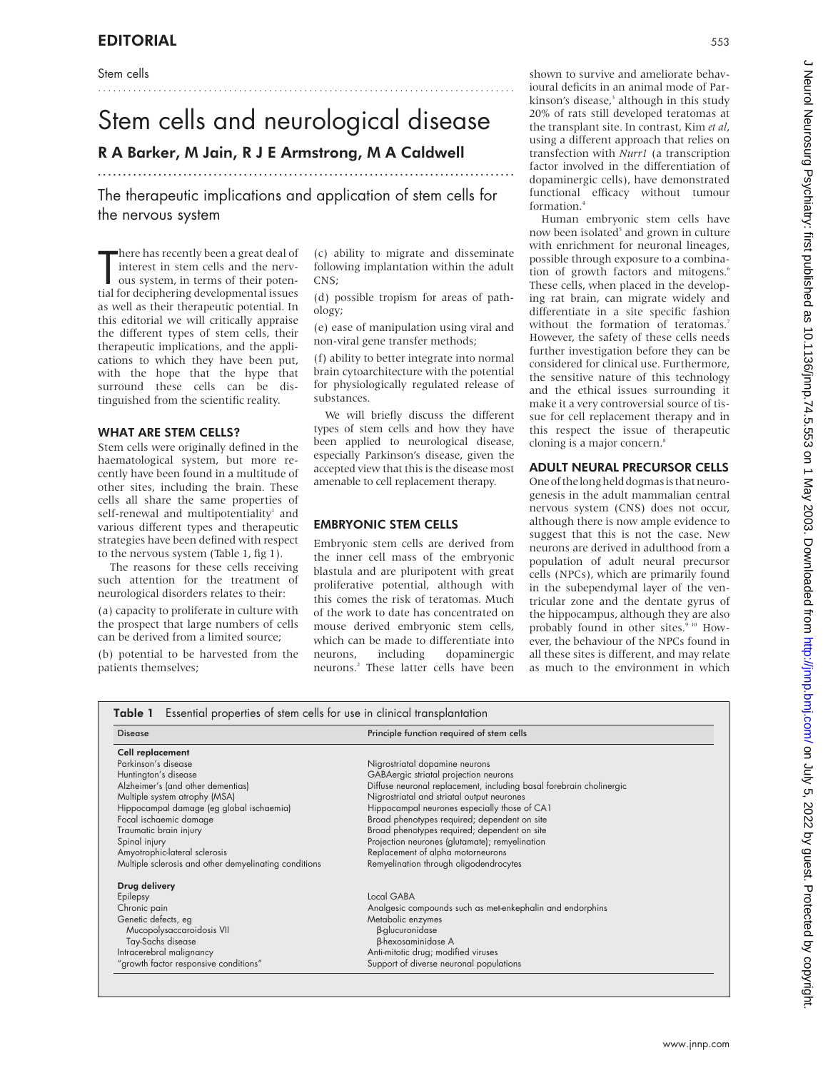Stem cells

# Stem cells and neurological disease

...................................................................................

## R A Barker, M Jain, R J E Armstrong, M A Caldwell

The therapeutic implications and application of stem cells for the nervous system

...................................................................................

There has recently been a great deal of<br>interest in stem cells and the nerv-<br>ous system, in terms of their poten-<br>tial for deciphering developmental issues here has recently been a great deal of interest in stem cells and the nervous system, in terms of their potenas well as their therapeutic potential. In this editorial we will critically appraise the different types of stem cells, their therapeutic implications, and the applications to which they have been put, with the hope that the hype that surround these cells can be distinguished from the scientific reality.

#### WHAT ARE STEM CELLS?

Stem cells were originally defined in the haematological system, but more recently have been found in a multitude of other sites, including the brain. These cells all share the same properties of self-renewal and multipotentiality<sup>1</sup> and various different types and therapeutic strategies have been defined with respect to the nervous system (Table 1, fig 1).

The reasons for these cells receiving such attention for the treatment of neurological disorders relates to their:

(a) capacity to proliferate in culture with the prospect that large numbers of cells can be derived from a limited source;

(b) potential to be harvested from the patients themselves;

(c) ability to migrate and disseminate following implantation within the adult CNS;

(d) possible tropism for areas of pathology;

(e) ease of manipulation using viral and non-viral gene transfer methods;

(f) ability to better integrate into normal brain cytoarchitecture with the potential for physiologically regulated release of substances.

We will briefly discuss the different types of stem cells and how they have been applied to neurological disease, especially Parkinson's disease, given the accepted view that this is the disease most amenable to cell replacement therapy.

#### EMBRYONIC STEM CELLS

Embryonic stem cells are derived from the inner cell mass of the embryonic blastula and are pluripotent with great proliferative potential, although with this comes the risk of teratomas. Much of the work to date has concentrated on mouse derived embryonic stem cells, which can be made to differentiate into neurons, including dopaminergic neurons.<sup>2</sup> These latter cells have been shown to survive and ameliorate behavioural deficits in an animal mode of Parkinson's disease,<sup>3</sup> although in this study 20% of rats still developed teratomas at the transplant site. In contrast, Kim *et al*, using a different approach that relies on transfection with *Nurr1* (a transcription factor involved in the differentiation of dopaminergic cells), have demonstrated functional efficacy without tumour formation.4

Human embryonic stem cells have now been isolated<sup>5</sup> and grown in culture with enrichment for neuronal lineages, possible through exposure to a combination of growth factors and mitogens.<sup>6</sup> These cells, when placed in the developing rat brain, can migrate widely and differentiate in a site specific fashion without the formation of teratomas.<sup>7</sup> However, the safety of these cells needs further investigation before they can be considered for clinical use. Furthermore, the sensitive nature of this technology and the ethical issues surrounding it make it a very controversial source of tissue for cell replacement therapy and in this respect the issue of therapeutic cloning is a major concern.<sup>8</sup>

#### ADULT NEURAL PRECURSOR CELLS

One of thelong held dogmasis that neurogenesis in the adult mammalian central nervous system (CNS) does not occur, although there is now ample evidence to suggest that this is not the case. New neurons are derived in adulthood from a population of adult neural precursor cells (NPCs), which are primarily found in the subependymal layer of the ventricular zone and the dentate gyrus of the hippocampus, although they are also probably found in other sites.<sup>9 10</sup> However, the behaviour of the NPCs found in all these sites is different, and may relate as much to the environment in which

| <b>Table 1</b> Essential properties of stem cells for use in clinical transplantation |  |  |  |  |
|---------------------------------------------------------------------------------------|--|--|--|--|
|---------------------------------------------------------------------------------------|--|--|--|--|

| <b>Disease</b>                                        | Principle function required of stem cells                           |  |  |
|-------------------------------------------------------|---------------------------------------------------------------------|--|--|
| Cell replacement                                      |                                                                     |  |  |
| Parkinson's disease                                   | Nigrostriatal dopamine neurons                                      |  |  |
| Huntington's disease                                  | GABAergic striatal projection neurons                               |  |  |
| Alzheimer's (and other dementias)                     | Diffuse neuronal replacement, including basal forebrain cholinergic |  |  |
| Multiple system atrophy (MSA)                         | Nigrostriatal and striatal output neurones                          |  |  |
| Hippocampal damage (eg global ischaemia)              | Hippocampal neurones especially those of CA1                        |  |  |
| Focal ischaemic damage                                | Broad phenotypes required; dependent on site                        |  |  |
| Traumatic brain injury                                | Broad phenotypes required; dependent on site                        |  |  |
| Spinal injury                                         | Projection neurones (glutamate); remyelination                      |  |  |
| Amyotrophic-lateral sclerosis                         | Replacement of alpha motorneurons                                   |  |  |
| Multiple sclerosis and other demyelinating conditions | Remyelination through oligodendrocytes                              |  |  |
| Drug delivery                                         |                                                                     |  |  |
| Epilepsy                                              | Local GABA                                                          |  |  |
| Chronic pain                                          | Analgesic compounds such as met-enkephalin and endorphins           |  |  |
| Genetic defects, eg                                   | Metabolic enzymes                                                   |  |  |
| Mucopolysaccaroidosis VII                             | <b>B-glucuronidase</b>                                              |  |  |
| Tay-Sachs disease                                     | <b>B-hexosaminidase A</b>                                           |  |  |
| Intracerebral malignancy                              | Anti-mitotic drug; modified viruses                                 |  |  |
| "growth factor responsive conditions"                 | Support of diverse neuronal populations                             |  |  |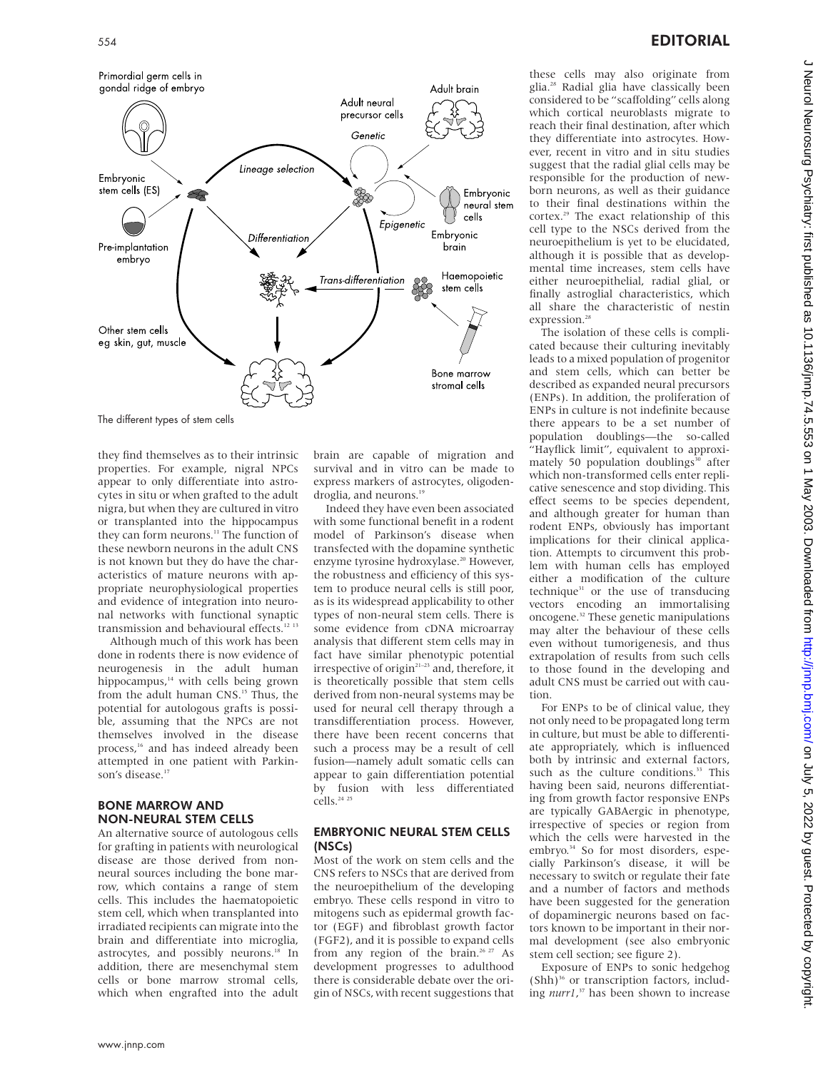

they find themselves as to their intrinsic properties. For example, nigral NPCs appear to only differentiate into astrocytes in situ or when grafted to the adult nigra, but when they are cultured in vitro or transplanted into the hippocampus they can form neurons.<sup>11</sup> The function of these newborn neurons in the adult CNS is not known but they do have the characteristics of mature neurons with appropriate neurophysiological properties and evidence of integration into neuro-

transmission and behavioural effects.<sup>12 13</sup> Although much of this work has been done in rodents there is now evidence of neurogenesis in the adult human hippocampus, $14$  with cells being grown from the adult human CNS.<sup>15</sup> Thus, the potential for autologous grafts is possible, assuming that the NPCs are not themselves involved in the disease process,<sup>16</sup> and has indeed already been attempted in one patient with Parkinson's disease.<sup>17</sup>

nal networks with functional synaptic

#### BONE MARROW AND NON-NEURAL STEM CELLS

An alternative source of autologous cells for grafting in patients with neurological disease are those derived from nonneural sources including the bone marrow, which contains a range of stem cells. This includes the haematopoietic stem cell, which when transplanted into irradiated recipients can migrate into the brain and differentiate into microglia, astrocytes, and possibly neurons.<sup>18</sup> In addition, there are mesenchymal stem cells or bone marrow stromal cells, which when engrafted into the adult

brain are capable of migration and survival and in vitro can be made to express markers of astrocytes, oligodendroglia, and neurons.<sup>19</sup>

Indeed they have even been associated with some functional benefit in a rodent model of Parkinson's disease when transfected with the dopamine synthetic enzyme tyrosine hydroxylase.<sup>20</sup> However, the robustness and efficiency of this system to produce neural cells is still poor, as is its widespread applicability to other types of non-neural stem cells. There is some evidence from cDNA microarray analysis that different stem cells may in fact have similar phenotypic potential irrespective of origin<sup>21-23</sup> and, therefore, it is theoretically possible that stem cells derived from non-neural systems may be used for neural cell therapy through a transdifferentiation process. However, there have been recent concerns that such a process may be a result of cell fusion—namely adult somatic cells can appear to gain differentiation potential by fusion with less differentiated cells.<sup>24</sup> <sup>25</sup>

#### EMBRYONIC NEURAL STEM CELLS (NSCs)

Most of the work on stem cells and the CNS refers to NSCs that are derived from the neuroepithelium of the developing embryo. These cells respond in vitro to mitogens such as epidermal growth factor (EGF) and fibroblast growth factor (FGF2), and it is possible to expand cells from any region of the brain.<sup>26 27</sup> As development progresses to adulthood there is considerable debate over the origin of NSCs, with recent suggestions that

these cells may also originate from glia.28 Radial glia have classically been considered to be "scaffolding" cells along which cortical neuroblasts migrate to reach their final destination, after which they differentiate into astrocytes. However, recent in vitro and in situ studies suggest that the radial glial cells may be responsible for the production of newborn neurons, as well as their guidance to their final destinations within the cortex.<sup>29</sup> The exact relationship of this cell type to the NSCs derived from the neuroepithelium is yet to be elucidated, although it is possible that as developmental time increases, stem cells have either neuroepithelial, radial glial, or finally astroglial characteristics, which all share the characteristic of nestin expression.<sup>28</sup>

The isolation of these cells is complicated because their culturing inevitably leads to a mixed population of progenitor and stem cells, which can better be described as expanded neural precursors (ENPs). In addition, the proliferation of ENPs in culture is not indefinite because there appears to be a set number of population doublings—the so-called "Hayflick limit", equivalent to approximately 50 population doublings $30$  after which non-transformed cells enter replicative senescence and stop dividing. This effect seems to be species dependent, and although greater for human than rodent ENPs, obviously has important implications for their clinical application. Attempts to circumvent this problem with human cells has employed either a modification of the culture technique $31$  or the use of transducing vectors encoding an immortalising oncogene.32 These genetic manipulations may alter the behaviour of these cells even without tumorigenesis, and thus extrapolation of results from such cells to those found in the developing and adult CNS must be carried out with caution.

For ENPs to be of clinical value, they not only need to be propagated long term in culture, but must be able to differentiate appropriately, which is influenced both by intrinsic and external factors, such as the culture conditions.<sup>33</sup> This having been said, neurons differentiating from growth factor responsive ENPs are typically GABAergic in phenotype, irrespective of species or region from which the cells were harvested in the embryo.<sup>34</sup> So for most disorders, especially Parkinson's disease, it will be necessary to switch or regulate their fate and a number of factors and methods have been suggested for the generation of dopaminergic neurons based on factors known to be important in their normal development (see also embryonic stem cell section; see figure 2).

Exposure of ENPs to sonic hedgehog  $(Shh)^{36}$  or transcription factors, including *nurr1*, <sup>37</sup> has been shown to increase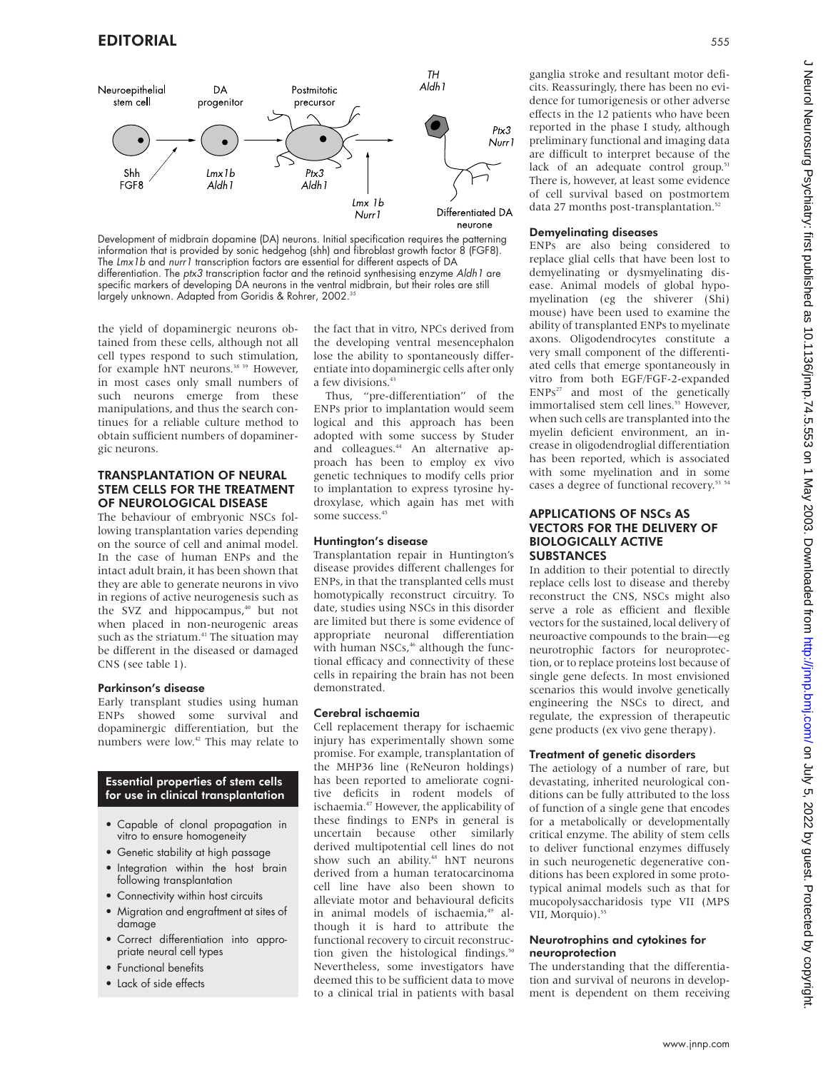

Development of midbrain dopamine (DA) neurons. Initial specification requires the patterning information that is provided by sonic hedgehog (shh) and fibroblast growth factor 8 (FGF8). The Lmx1b and nurr1 transcription factors are essential for different aspects of DA differentiation. The ptx3 transcription factor and the retinoid synthesising enzyme Aldh1 are specific markers of developing DA neurons in the ventral midbrain, but their roles are still largely unknown. Adapted from Goridis & Rohrer, 2002.<sup>35</sup>

the yield of dopaminergic neurons obtained from these cells, although not all cell types respond to such stimulation, for example hNT neurons.<sup>38</sup> <sup>39</sup> However, in most cases only small numbers of such neurons emerge from these manipulations, and thus the search continues for a reliable culture method to obtain sufficient numbers of dopaminergic neurons.

#### TRANSPLANTATION OF NEURAL STEM CELLS FOR THE TREATMENT OF NEUROLOGICAL DISEASE

The behaviour of embryonic NSCs following transplantation varies depending on the source of cell and animal model. In the case of human ENPs and the intact adult brain, it has been shown that they are able to generate neurons in vivo in regions of active neurogenesis such as the SVZ and hippocampus,<sup>40</sup> but not when placed in non-neurogenic areas such as the striatum.<sup>41</sup> The situation may be different in the diseased or damaged CNS (see table 1).

#### Parkinson's disease

Early transplant studies using human ENPs showed some survival and dopaminergic differentiation, but the numbers were low.<sup>42</sup> This may relate to

#### Essential properties of stem cells for use in clinical transplantation

- Capable of clonal propagation in vitro to ensure homogeneity
- Genetic stability at high passage
- Integration within the host brain following transplantation
- Connectivity within host circuits
- Migration and engraftment at sites of damage
- Correct differentiation into appropriate neural cell types
- Functional benefits
- Lack of side effects

the fact that in vitro, NPCs derived from the developing ventral mesencephalon lose the ability to spontaneously differentiate into dopaminergic cells after only a few divisions.<sup>43</sup>

Thus, "pre-differentiation" of the ENPs prior to implantation would seem logical and this approach has been adopted with some success by Studer and colleagues.<sup>44</sup> An alternative approach has been to employ ex vivo genetic techniques to modify cells prior to implantation to express tyrosine hydroxylase, which again has met with some success.<sup>45</sup>

#### Huntington's disease

Transplantation repair in Huntington's disease provides different challenges for ENPs, in that the transplanted cells must homotypically reconstruct circuitry. To date, studies using NSCs in this disorder are limited but there is some evidence of appropriate neuronal differentiation with human NSCs,<sup>46</sup> although the functional efficacy and connectivity of these cells in repairing the brain has not been demonstrated.

#### Cerebral ischaemia

Cell replacement therapy for ischaemic injury has experimentally shown some promise. For example, transplantation of the MHP36 line (ReNeuron holdings) has been reported to ameliorate cognitive deficits in rodent models of ischaemia.<sup>47</sup> However, the applicability of these findings to ENPs in general is uncertain because other similarly derived multipotential cell lines do not show such an ability.<sup>48</sup> hNT neurons derived from a human teratocarcinoma cell line have also been shown to alleviate motor and behavioural deficits in animal models of ischaemia,<sup>49</sup> although it is hard to attribute the functional recovery to circuit reconstruction given the histological findings.<sup>50</sup> Nevertheless, some investigators have deemed this to be sufficient data to move to a clinical trial in patients with basal

ganglia stroke and resultant motor deficits. Reassuringly, there has been no evidence for tumorigenesis or other adverse effects in the 12 patients who have been reported in the phase I study, although preliminary functional and imaging data are difficult to interpret because of the lack of an adequate control group. $51$ There is, however, at least some evidence of cell survival based on postmortem data 27 months post-transplantation.<sup>52</sup>

#### Demyelinating diseases

ENPs are also being considered to replace glial cells that have been lost to demyelinating or dysmyelinating disease. Animal models of global hypomyelination (eg the shiverer (Shi) mouse) have been used to examine the ability of transplanted ENPs to myelinate axons. Oligodendrocytes constitute a very small component of the differentiated cells that emerge spontaneously in vitro from both EGF/FGF-2-expanded  $ENPs<sup>27</sup>$  and most of the genetically immortalised stem cell lines.<sup>53</sup> However, when such cells are transplanted into the myelin deficient environment, an increase in oligodendroglial differentiation has been reported, which is associated with some myelination and in some cases a degree of functional recovery.<sup>53</sup>

#### APPLICATIONS OF NSCs AS VECTORS FOR THE DELIVERY OF BIOLOGICALLY ACTIVE SUBSTANCES

In addition to their potential to directly replace cells lost to disease and thereby reconstruct the CNS, NSCs might also serve a role as efficient and flexible vectors for the sustained, local delivery of neuroactive compounds to the brain—eg neurotrophic factors for neuroprotection, or to replace proteins lost because of single gene defects. In most envisioned scenarios this would involve genetically engineering the NSCs to direct, and regulate, the expression of therapeutic gene products (ex vivo gene therapy).

#### Treatment of genetic disorders

The aetiology of a number of rare, but devastating, inherited neurological conditions can be fully attributed to the loss of function of a single gene that encodes for a metabolically or developmentally critical enzyme. The ability of stem cells to deliver functional enzymes diffusely in such neurogenetic degenerative conditions has been explored in some prototypical animal models such as that for mucopolysaccharidosis type VII (MPS VII, Morquio).<sup>55</sup>

#### Neurotrophins and cytokines for neuroprotection

The understanding that the differentiation and survival of neurons in development is dependent on them receiving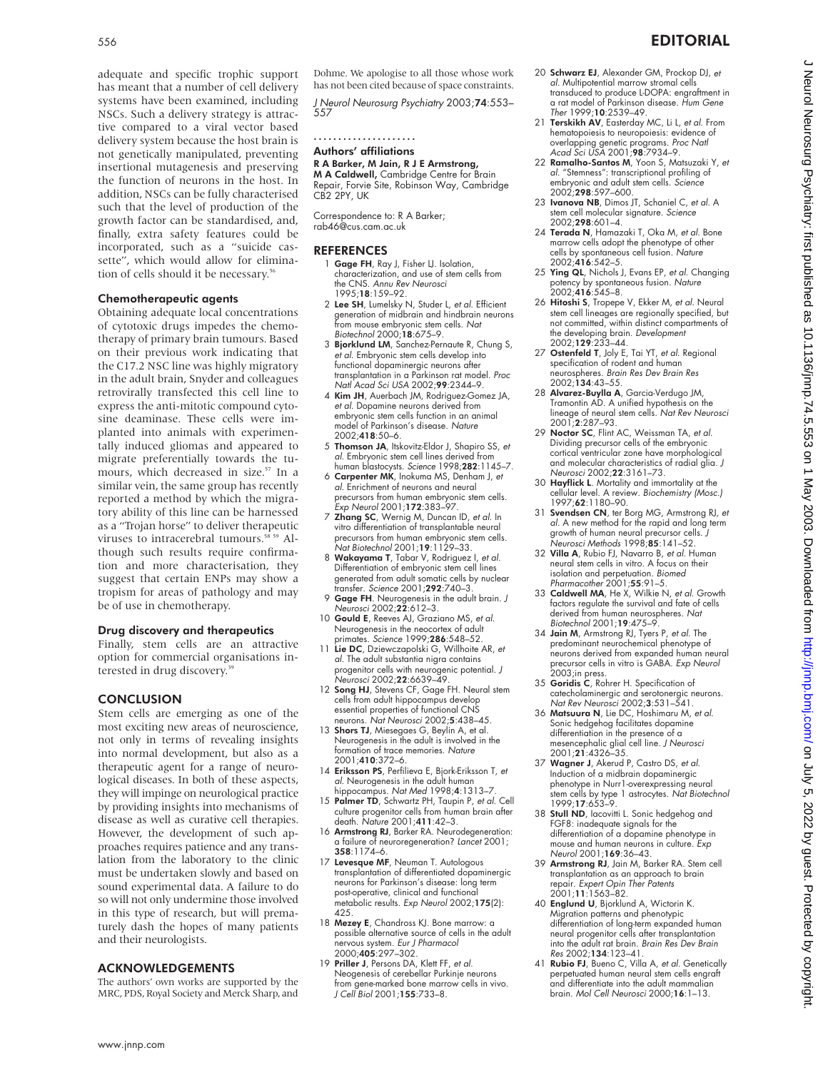adequate and specific trophic support has meant that a number of cell delivery systems have been examined, including NSCs. Such a delivery strategy is attractive compared to a viral vector based delivery system because the host brain is not genetically manipulated, preventing insertional mutagenesis and preserving the function of neurons in the host. In addition, NSCs can be fully characterised such that the level of production of the growth factor can be standardised, and, finally, extra safety features could be incorporated, such as a "suicide cassette", which would allow for elimination of cells should it be necessary.<sup>56</sup>

#### Chemotherapeutic agents

Obtaining adequate local concentrations of cytotoxic drugs impedes the chemotherapy of primary brain tumours. Based on their previous work indicating that the C17.2 NSC line was highly migratory in the adult brain, Snyder and colleagues retrovirally transfected this cell line to express the anti-mitotic compound cytosine deaminase. These cells were implanted into animals with experimentally induced gliomas and appeared to migrate preferentially towards the tumours, which decreased in size.<sup>57</sup> In a similar vein, the same group has recently reported a method by which the migratory ability of this line can be harnessed as a "Trojan horse" to deliver therapeutic viruses to intracerebral tumours.<sup>58 59</sup> Although such results require confirmation and more characterisation, they suggest that certain ENPs may show a tropism for areas of pathology and may be of use in chemotherapy.

#### Drug discovery and therapeutics

Finally, stem cells are an attractive option for commercial organisations interested in drug discovery.<sup>36</sup>

#### **CONCLUSION**

Stem cells are emerging as one of the most exciting new areas of neuroscience, not only in terms of revealing insights into normal development, but also as a therapeutic agent for a range of neurological diseases. In both of these aspects, they will impinge on neurological practice by providing insights into mechanisms of disease as well as curative cell therapies. However, the development of such approaches requires patience and any translation from the laboratory to the clinic must be undertaken slowly and based on sound experimental data. A failure to do so will not only undermine those involved in this type of research, but will prematurely dash the hopes of many patients and their neurologists.

#### ACKNOWLEDGEMENTS

The authors' own works are supported by the MRC, PDS, Royal Society and Merck Sharp, and

Dohme. We apologise to all those whose work has not been cited because of space constraints.

J Neurol Neurosurg Psychiatry 2003;74:553– 557

.....................

#### Authors' affiliations

R A Barker, M Jain, R J E Armstrong, M A Caldwell, Cambridge Centre for Brain Repair, Forvie Site, Robinson Way, Cambridge CB2 2PY, UK

Correspondence to: R A Barker; rab46@cus.cam.ac.uk

#### REFERENCES

- 1 Gage FH, Ray J, Fisher LJ. Isolation, characterization, and use of stem cells from the CNS. Annu Rev Neurosci 1995;18:159–92.
- 2 Lee SH, Lumelsky N, Studer L, et al. Efficient generation of midbrain and hindbrain neurons from mouse embryonic stem cells. Nat Biotechnol 2000;18:675–9.
- 3 Bjorklund LM, Sanchez-Pernaute R, Chung S, et al. Embryonic stem cells develop into functional dopaminergic neurons after transplantation in a Parkinson rat model. Proc Natl Acad Sci USA 2002;99:2344–9.
- 4 Kim JH, Auerbach JM, Rodriguez-Gomez JA, et al. Dopamine neurons derived from embryonic stem cells function in an animal model of Parkinson's disease. Nature 2002;418:50–6.
- 5 Thomson JA, Itskovitz-Eldor J, Shapiro SS, et al. Embryonic stem cell lines derived from human blastocysts. Science 1998;282:1145-7.
- 6 Carpenter MK, Inokuma MS, Denham J, et al. Enrichment of neurons and neural precursors from human embryonic stem cells. Exp Neurol 2001;172:383–97.
- 7 Zhang SC, Wernig M, Duncan ID, et al. In vitro differentiation of transplantable neural precursors from human embryonic stem cells. Nat Biotechnol 2001;19:1129–33.
- 8 Wakayama T, Tabar V, Rodriguez I, et al. Differentiation of embryonic stem cell lines generated from adult somatic cells by nuclear transfer. Science 2001;292:740–3.
- 9 Gage FH. Neurogenesis in the adult brain. J Neurosci 2002;22:612–3.
- 10 Gould E, Reeves AJ, Graziano MS, et al. Neurogenesis in the neocortex of adult primates. Science 1999;286:548–52.
- 11 Lie DC, Dziewczapolski G, Willhoite AR, et al. The adult substantia nigra contains progenitor cells with neurogenic potential. J Neurosci 2002;22:6639–49.
- 12 Song HJ, Stevens CF, Gage FH. Neural stem cells from adult hippocampus develop essential properties of functional CNS neurons. Nat Neurosci 2002;5:438–45.
- 13 Shors TJ, Miesegaes G, Beylin A, et al. Neurogenesis in the adult is involved in the formation of trace memories. Nature 2001;410:372–6.
- 14 Eriksson PS, Perfilieva E, Bjork-Eriksson T, et al. Neurogenesis in the adult human hippocampus. Nat Med 1998;4:1313-7
- 15 Palmer TD, Schwartz PH, Taupin P, et al. Cell culture progenitor cells from human brain after death. Nature 2001;411:42–3.
- 16 Armstrong RJ, Barker RA. Neurodegeneration: a failure of neuroregeneration? Lancet 2001; 358:1174–6.
- 17 Levesque MF, Neuman T. Autologous transplantation of differentiated dopaminergic neurons for Parkinson's disease: long term post-operative, clinical and functional metabolic results. Exp Neurol 2002;175(2): 425.
- 18 Mezey E, Chandross KJ. Bone marrow: a possible alternative source of cells in the adult nervous system. *Eur J Pharmacol*<br>2000;**405**:297–302.
- 19 Priller J, Persons DA, Klett FF, et al. Neogenesis of cerebellar Purkinje neurons from gene-marked bone marrow cells in vivo. J Cell Biol 2001;155:733–8.
- 20 Schwarz EJ, Alexander GM, Prockop DJ, et al. Multipotential marrow stromal cells transduced to produce L-DOPA: engraftment in a rat model of Parkinson disease. *Hum Gene*<br>Ther 1999;**10**:2539–49.
- 21 Terskikh AV, Easterday MC, Li L, et al. From hematopoiesis to neuropoiesis: evidence of overlapping genetic programs. *Proc Natl*<br>Acad Sci USA 2001;**98**:7934–9.
- 22 Ramalho-Santos M, Yoon S, Matsuzaki Y, et al. "Stemness": transcriptional profiling of embryonic and adult stem cells. Science 2002;298:597–600.
- 23 Ivanova NB, Dimos JT, Schaniel C, et al. A stem cell molecular signature. Science<br>2002:298:601-4
- 2002;**298**:601–4.<br>
24 **Terada N**, Hamazaki T, Oka M, et al. Bone<br>
marrow cells adopt the phenotype of other<br>
cells by spontaneous cell fusion. Nature<br>
2002;4**16**:542–5.
- 25 Ying QL, Nichols J, Evans EP, et al. Changing potency by spontaneous fusion. Nature 2002;416:545–8.
- 26 Hitoshi S, Tropepe V, Ekker M, et al. Neural stem cell lineages are regionally specified, but not committed, within distinct compartments of the developing brain. Development 2002;**129**:233–44.
- 27 Ostenfeld T, Joly E, Tai YT, et al. Regional specification of rodent and human neurospheres. *Brain Res Dev Brain Res*<br>2002;**134**:43–55.
- 28 Alvarez-Buylla A, Garcia-Verdugo JM, Tramontin AD. A unified hypothesis on the lineage of neural stem cells. Nat Rev Neurosci 2001;2:287–93.
- 29 Noctor SC, Flint AC, Weissman TA, et al. Dividing precursor cells of the embryonic cortical ventricular zone have morphological and molecular characteristics of radial glia. J Neurosci 2002;22:3161–73.
- 30 Hayflick L. Mortality and immortality at the cellular level. A review. Biochemistry (Mosc.) 1997;62:1180–90.
- 31 Svendsen CN, ter Borg MG, Armstrong RJ, et al. A new method for the rapid and long term growth of human neural precursor cells. J Neurosci Methods 1998;85:141–52.
- 32 Villa A, Rubio FJ, Navarro B, et al. Human neural stem cells in vitro. A focus on their isolation and perpetuation. Biomed Pharmacother 2001;55:91–5.
- 33 Caldwell MA, He X, Wilkie N, et al. Growth factors regulate the survival and fate of cells derived from human neurospheres. Nat Biotechnol 2001;19:475-9.
- 34 Jain M, Armstrong RJ, Tyers P, et al. The predominant neurochemical phenotype of neurons derived from expanded human neural precursor cells in vitro is GABA. Exp Neurol 2003;in press.
- 35 Goridis C, Rohrer H. Specification of catecholaminergic and serotonergic neurons. Nat Rev Neurosci 2002;3:531–541.
- 36 Matsuura N, Lie DC, Hoshimaru M, et al. Sonic hedgehog facilitates dopamine differentiation in the presence of a mesencephalic glial cell line. *J Neurosci*<br>2001;**21**:4326–35.
- 37 Wagner J, Akerud P, Castro DS, et al. Induction of a midbrain dopaminergic phenotype in Nurr1-overexpressing neural<br>stem cells by type 1 astrocytes. *Nat Biotechnol*<br>1999;**17**:653–9.
- 38 Stull ND, lacovitti L. Sonic hedgehog and FGF8: inadequate signals for the differentiation of a dopamine phenotype in mouse and human neurons in culture. Exp Neurol 2001;169:36–43.
- 39 Armstrong RJ, Jain M, Barker RA. Stem cell transplantation as an approach to brain repair. Expert Opin Ther Patents 2001;11:1563–82.
- 40 Englund U, Bjorklund A, Wictorin K. Migration patterns and phenotypic differentiation of long-term expanded human neural progenitor cells after transplantation into the adult rat brain. Brain Res Dev Brain Res 2002;134:123–41.
- 41 Rubio FJ, Bueno C, Villa A, et al. Genetically perpetuated human neural stem cells engraft and differentiate into the adult mammalian brain. Mol Cell Neurosci 2000;16:1–13.